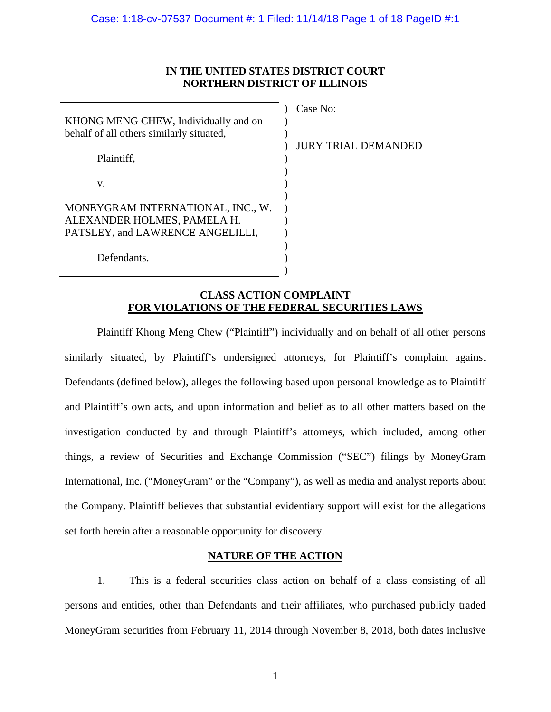# **IN THE UNITED STATES DISTRICT COURT NORTHERN DISTRICT OF ILLINOIS**

| KHONG MENG CHEW, Individually and on<br>behalf of all others similarly situated,                     |  |
|------------------------------------------------------------------------------------------------------|--|
| Plaintiff.                                                                                           |  |
| V.                                                                                                   |  |
| MONEYGRAM INTERNATIONAL, INC., W.<br>ALEXANDER HOLMES, PAMELA H.<br>PATSLEY, and LAWRENCE ANGELILLI, |  |
| Defendants.                                                                                          |  |

Case No: JURY TRIAL DEMANDED

# **CLASS ACTION COMPLAINT FOR VIOLATIONS OF THE FEDERAL SECURITIES LAWS**

Plaintiff Khong Meng Chew ("Plaintiff") individually and on behalf of all other persons similarly situated, by Plaintiff's undersigned attorneys, for Plaintiff's complaint against Defendants (defined below), alleges the following based upon personal knowledge as to Plaintiff and Plaintiff's own acts, and upon information and belief as to all other matters based on the investigation conducted by and through Plaintiff's attorneys, which included, among other things, a review of Securities and Exchange Commission ("SEC") filings by MoneyGram International, Inc. ("MoneyGram" or the "Company"), as well as media and analyst reports about the Company. Plaintiff believes that substantial evidentiary support will exist for the allegations set forth herein after a reasonable opportunity for discovery.

# **NATURE OF THE ACTION**

1. This is a federal securities class action on behalf of a class consisting of all persons and entities, other than Defendants and their affiliates, who purchased publicly traded MoneyGram securities from February 11, 2014 through November 8, 2018, both dates inclusive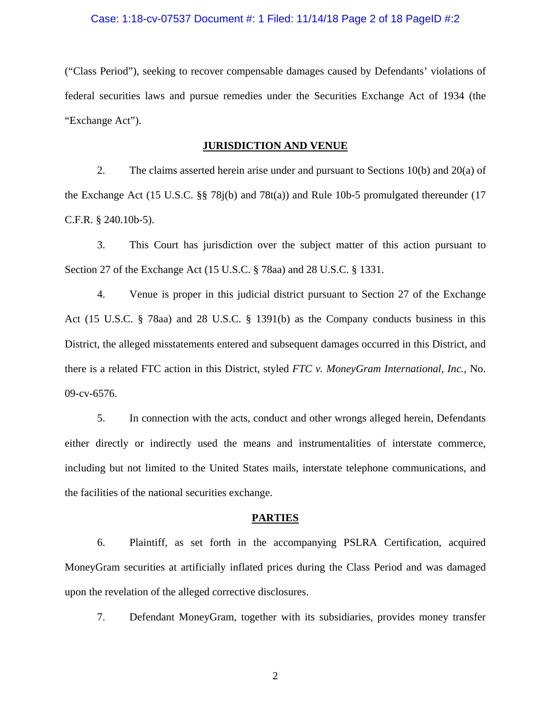#### Case: 1:18-cv-07537 Document #: 1 Filed: 11/14/18 Page 2 of 18 PageID #:2

("Class Period"), seeking to recover compensable damages caused by Defendants' violations of federal securities laws and pursue remedies under the Securities Exchange Act of 1934 (the "Exchange Act").

### **JURISDICTION AND VENUE**

2. The claims asserted herein arise under and pursuant to Sections 10(b) and 20(a) of the Exchange Act (15 U.S.C. §§ 78j(b) and 78t(a)) and Rule 10b-5 promulgated thereunder (17 C.F.R. § 240.10b-5).

3. This Court has jurisdiction over the subject matter of this action pursuant to Section 27 of the Exchange Act (15 U.S.C. § 78aa) and 28 U.S.C. § 1331.

4. Venue is proper in this judicial district pursuant to Section 27 of the Exchange Act (15 U.S.C. § 78aa) and 28 U.S.C. § 1391(b) as the Company conducts business in this District, the alleged misstatements entered and subsequent damages occurred in this District, and there is a related FTC action in this District, styled *FTC v. MoneyGram International, Inc.*, No. 09-cv-6576.

5. In connection with the acts, conduct and other wrongs alleged herein, Defendants either directly or indirectly used the means and instrumentalities of interstate commerce, including but not limited to the United States mails, interstate telephone communications, and the facilities of the national securities exchange.

#### **PARTIES**

6. Plaintiff, as set forth in the accompanying PSLRA Certification, acquired MoneyGram securities at artificially inflated prices during the Class Period and was damaged upon the revelation of the alleged corrective disclosures.

7. Defendant MoneyGram, together with its subsidiaries, provides money transfer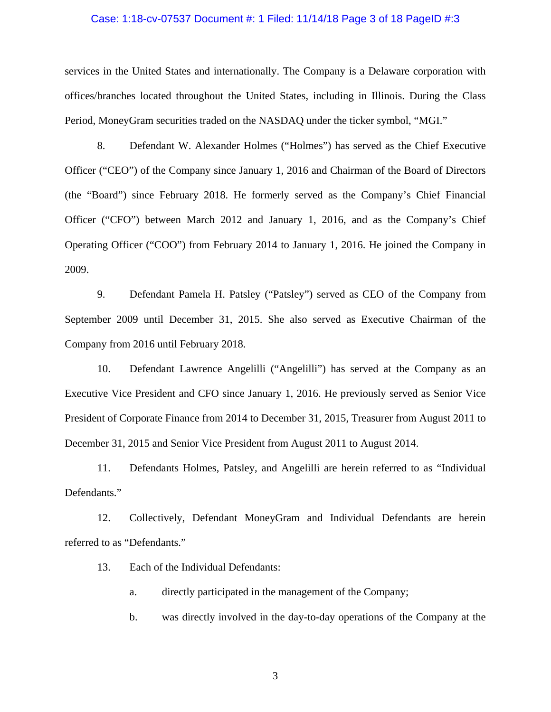### Case: 1:18-cv-07537 Document #: 1 Filed: 11/14/18 Page 3 of 18 PageID #:3

services in the United States and internationally. The Company is a Delaware corporation with offices/branches located throughout the United States, including in Illinois. During the Class Period, MoneyGram securities traded on the NASDAQ under the ticker symbol, "MGI."

8. Defendant W. Alexander Holmes ("Holmes") has served as the Chief Executive Officer ("CEO") of the Company since January 1, 2016 and Chairman of the Board of Directors (the "Board") since February 2018. He formerly served as the Company's Chief Financial Officer ("CFO") between March 2012 and January 1, 2016, and as the Company's Chief Operating Officer ("COO") from February 2014 to January 1, 2016. He joined the Company in 2009.

9. Defendant Pamela H. Patsley ("Patsley") served as CEO of the Company from September 2009 until December 31, 2015. She also served as Executive Chairman of the Company from 2016 until February 2018.

10. Defendant Lawrence Angelilli ("Angelilli") has served at the Company as an Executive Vice President and CFO since January 1, 2016. He previously served as Senior Vice President of Corporate Finance from 2014 to December 31, 2015, Treasurer from August 2011 to December 31, 2015 and Senior Vice President from August 2011 to August 2014.

11. Defendants Holmes, Patsley, and Angelilli are herein referred to as "Individual Defendants."

12. Collectively, Defendant MoneyGram and Individual Defendants are herein referred to as "Defendants."

13. Each of the Individual Defendants:

a. directly participated in the management of the Company;

b. was directly involved in the day-to-day operations of the Company at the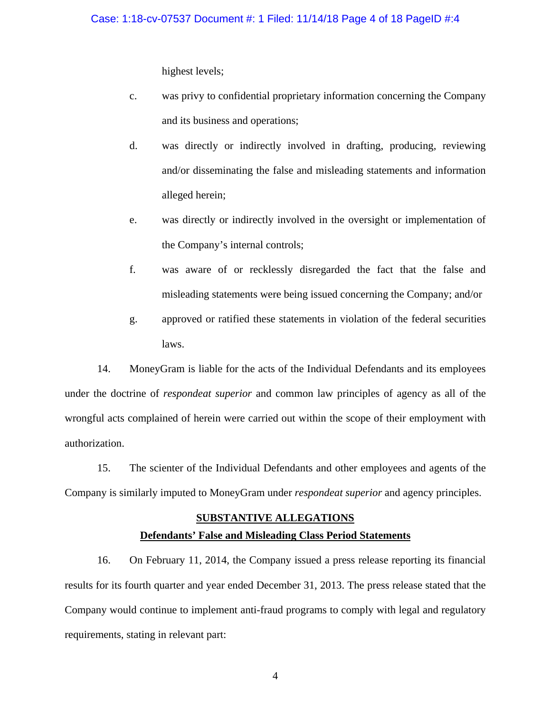highest levels;

- c. was privy to confidential proprietary information concerning the Company and its business and operations;
- d. was directly or indirectly involved in drafting, producing, reviewing and/or disseminating the false and misleading statements and information alleged herein;
- e. was directly or indirectly involved in the oversight or implementation of the Company's internal controls;
- f. was aware of or recklessly disregarded the fact that the false and misleading statements were being issued concerning the Company; and/or
- g. approved or ratified these statements in violation of the federal securities laws.

14. MoneyGram is liable for the acts of the Individual Defendants and its employees under the doctrine of *respondeat superior* and common law principles of agency as all of the wrongful acts complained of herein were carried out within the scope of their employment with authorization.

15. The scienter of the Individual Defendants and other employees and agents of the Company is similarly imputed to MoneyGram under *respondeat superior* and agency principles.

## **SUBSTANTIVE ALLEGATIONS**

# **Defendants' False and Misleading Class Period Statements**

16. On February 11, 2014, the Company issued a press release reporting its financial results for its fourth quarter and year ended December 31, 2013. The press release stated that the Company would continue to implement anti-fraud programs to comply with legal and regulatory requirements, stating in relevant part: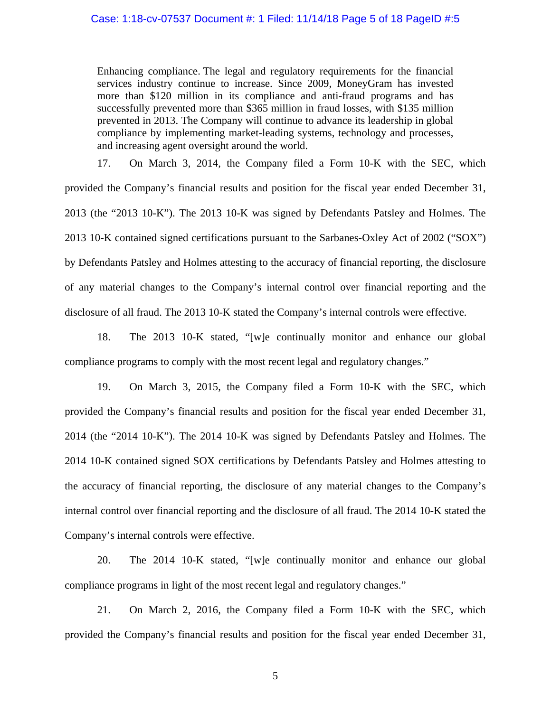## Case: 1:18-cv-07537 Document #: 1 Filed: 11/14/18 Page 5 of 18 PageID #:5

Enhancing compliance. The legal and regulatory requirements for the financial services industry continue to increase. Since 2009, MoneyGram has invested more than \$120 million in its compliance and anti-fraud programs and has successfully prevented more than \$365 million in fraud losses, with \$135 million prevented in 2013. The Company will continue to advance its leadership in global compliance by implementing market-leading systems, technology and processes, and increasing agent oversight around the world.

17. On March 3, 2014, the Company filed a Form 10-K with the SEC, which provided the Company's financial results and position for the fiscal year ended December 31, 2013 (the "2013 10-K"). The 2013 10-K was signed by Defendants Patsley and Holmes. The 2013 10-K contained signed certifications pursuant to the Sarbanes-Oxley Act of 2002 ("SOX") by Defendants Patsley and Holmes attesting to the accuracy of financial reporting, the disclosure of any material changes to the Company's internal control over financial reporting and the disclosure of all fraud. The 2013 10-K stated the Company's internal controls were effective.

18. The 2013 10-K stated, "[w]e continually monitor and enhance our global compliance programs to comply with the most recent legal and regulatory changes."

19. On March 3, 2015, the Company filed a Form 10-K with the SEC, which provided the Company's financial results and position for the fiscal year ended December 31, 2014 (the "2014 10-K"). The 2014 10-K was signed by Defendants Patsley and Holmes. The 2014 10-K contained signed SOX certifications by Defendants Patsley and Holmes attesting to the accuracy of financial reporting, the disclosure of any material changes to the Company's internal control over financial reporting and the disclosure of all fraud. The 2014 10-K stated the Company's internal controls were effective.

20. The 2014 10-K stated, "[w]e continually monitor and enhance our global compliance programs in light of the most recent legal and regulatory changes."

21. On March 2, 2016, the Company filed a Form 10-K with the SEC, which provided the Company's financial results and position for the fiscal year ended December 31,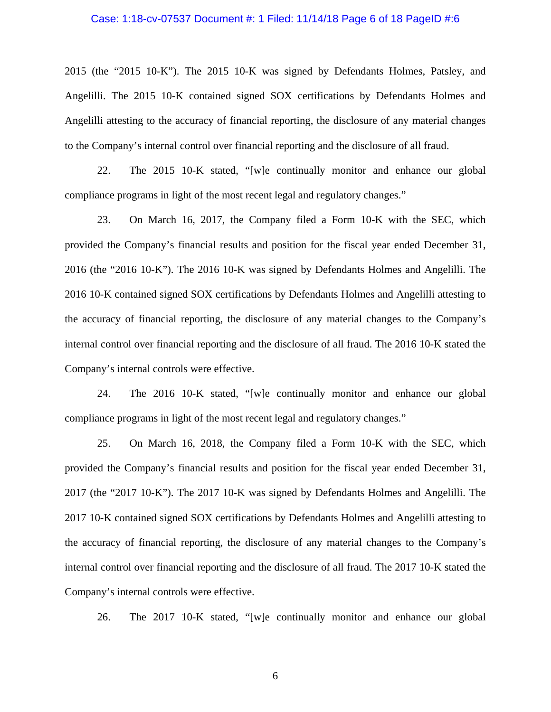### Case: 1:18-cv-07537 Document #: 1 Filed: 11/14/18 Page 6 of 18 PageID #:6

2015 (the "2015 10-K"). The 2015 10-K was signed by Defendants Holmes, Patsley, and Angelilli. The 2015 10-K contained signed SOX certifications by Defendants Holmes and Angelilli attesting to the accuracy of financial reporting, the disclosure of any material changes to the Company's internal control over financial reporting and the disclosure of all fraud.

22. The 2015 10-K stated, "[w]e continually monitor and enhance our global compliance programs in light of the most recent legal and regulatory changes."

23. On March 16, 2017, the Company filed a Form 10-K with the SEC, which provided the Company's financial results and position for the fiscal year ended December 31, 2016 (the "2016 10-K"). The 2016 10-K was signed by Defendants Holmes and Angelilli. The 2016 10-K contained signed SOX certifications by Defendants Holmes and Angelilli attesting to the accuracy of financial reporting, the disclosure of any material changes to the Company's internal control over financial reporting and the disclosure of all fraud. The 2016 10-K stated the Company's internal controls were effective.

24. The 2016 10-K stated, "[w]e continually monitor and enhance our global compliance programs in light of the most recent legal and regulatory changes."

25. On March 16, 2018, the Company filed a Form 10-K with the SEC, which provided the Company's financial results and position for the fiscal year ended December 31, 2017 (the "2017 10-K"). The 2017 10-K was signed by Defendants Holmes and Angelilli. The 2017 10-K contained signed SOX certifications by Defendants Holmes and Angelilli attesting to the accuracy of financial reporting, the disclosure of any material changes to the Company's internal control over financial reporting and the disclosure of all fraud. The 2017 10-K stated the Company's internal controls were effective.

26. The 2017 10-K stated, "[w]e continually monitor and enhance our global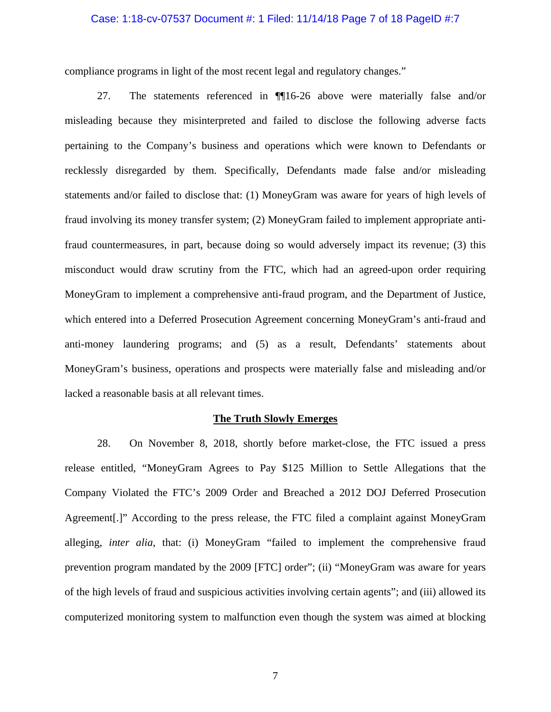### Case: 1:18-cv-07537 Document #: 1 Filed: 11/14/18 Page 7 of 18 PageID #:7

compliance programs in light of the most recent legal and regulatory changes."

27. The statements referenced in ¶¶16-26 above were materially false and/or misleading because they misinterpreted and failed to disclose the following adverse facts pertaining to the Company's business and operations which were known to Defendants or recklessly disregarded by them. Specifically, Defendants made false and/or misleading statements and/or failed to disclose that: (1) MoneyGram was aware for years of high levels of fraud involving its money transfer system; (2) MoneyGram failed to implement appropriate antifraud countermeasures, in part, because doing so would adversely impact its revenue; (3) this misconduct would draw scrutiny from the FTC, which had an agreed-upon order requiring MoneyGram to implement a comprehensive anti-fraud program, and the Department of Justice, which entered into a Deferred Prosecution Agreement concerning MoneyGram's anti-fraud and anti-money laundering programs; and (5) as a result, Defendants' statements about MoneyGram's business, operations and prospects were materially false and misleading and/or lacked a reasonable basis at all relevant times.

#### **The Truth Slowly Emerges**

28. On November 8, 2018, shortly before market-close, the FTC issued a press release entitled, "MoneyGram Agrees to Pay \$125 Million to Settle Allegations that the Company Violated the FTC's 2009 Order and Breached a 2012 DOJ Deferred Prosecution Agreement[.]" According to the press release, the FTC filed a complaint against MoneyGram alleging, *inter alia*, that: (i) MoneyGram "failed to implement the comprehensive fraud prevention program mandated by the 2009 [FTC] order"; (ii) "MoneyGram was aware for years of the high levels of fraud and suspicious activities involving certain agents"; and (iii) allowed its computerized monitoring system to malfunction even though the system was aimed at blocking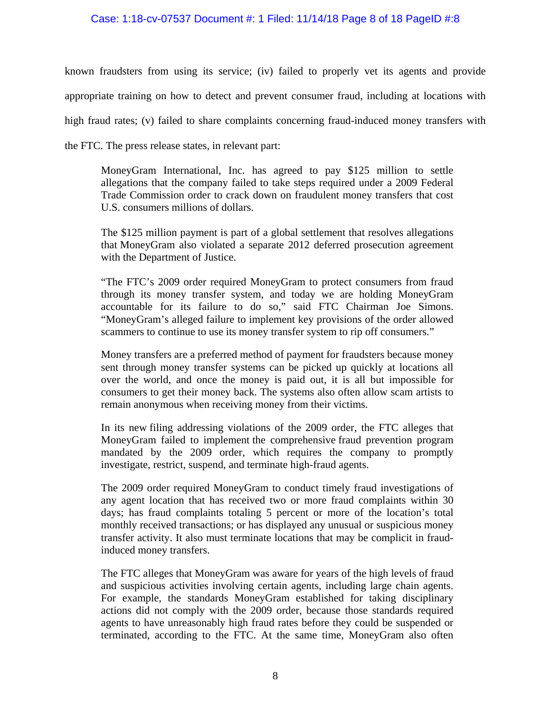## Case: 1:18-cv-07537 Document #: 1 Filed: 11/14/18 Page 8 of 18 PageID #:8

known fraudsters from using its service; (iv) failed to properly vet its agents and provide appropriate training on how to detect and prevent consumer fraud, including at locations with high fraud rates; (v) failed to share complaints concerning fraud-induced money transfers with the FTC. The press release states, in relevant part:

MoneyGram International, Inc. has agreed to pay \$125 million to settle allegations that the company failed to take steps required under a 2009 Federal Trade Commission order to crack down on fraudulent money transfers that cost U.S. consumers millions of dollars.

The \$125 million payment is part of a global settlement that resolves allegations that MoneyGram also violated a separate 2012 deferred prosecution agreement with the Department of Justice.

"The FTC's 2009 order required MoneyGram to protect consumers from fraud through its money transfer system, and today we are holding MoneyGram accountable for its failure to do so," said FTC Chairman Joe Simons. "MoneyGram's alleged failure to implement key provisions of the order allowed scammers to continue to use its money transfer system to rip off consumers."

Money transfers are a preferred method of payment for fraudsters because money sent through money transfer systems can be picked up quickly at locations all over the world, and once the money is paid out, it is all but impossible for consumers to get their money back. The systems also often allow scam artists to remain anonymous when receiving money from their victims.

In its new filing addressing violations of the 2009 order, the FTC alleges that MoneyGram failed to implement the comprehensive fraud prevention program mandated by the 2009 order, which requires the company to promptly investigate, restrict, suspend, and terminate high-fraud agents.

The 2009 order required MoneyGram to conduct timely fraud investigations of any agent location that has received two or more fraud complaints within 30 days; has fraud complaints totaling 5 percent or more of the location's total monthly received transactions; or has displayed any unusual or suspicious money transfer activity. It also must terminate locations that may be complicit in fraudinduced money transfers.

The FTC alleges that MoneyGram was aware for years of the high levels of fraud and suspicious activities involving certain agents, including large chain agents. For example, the standards MoneyGram established for taking disciplinary actions did not comply with the 2009 order, because those standards required agents to have unreasonably high fraud rates before they could be suspended or terminated, according to the FTC. At the same time, MoneyGram also often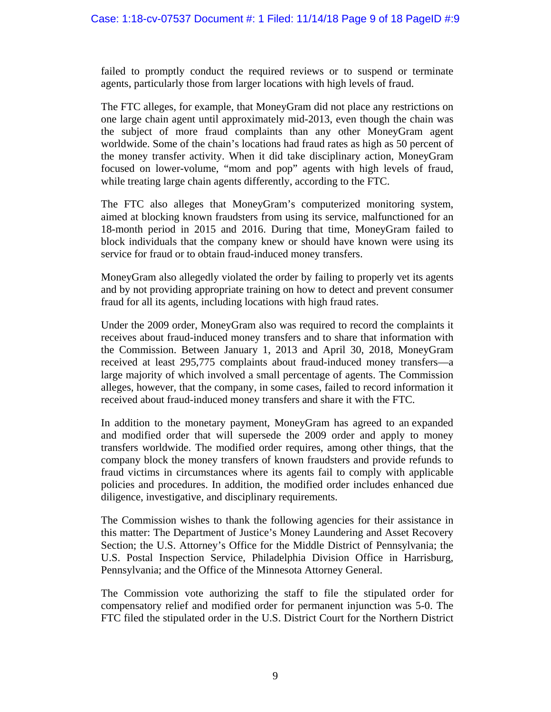failed to promptly conduct the required reviews or to suspend or terminate agents, particularly those from larger locations with high levels of fraud.

The FTC alleges, for example, that MoneyGram did not place any restrictions on one large chain agent until approximately mid-2013, even though the chain was the subject of more fraud complaints than any other MoneyGram agent worldwide. Some of the chain's locations had fraud rates as high as 50 percent of the money transfer activity. When it did take disciplinary action, MoneyGram focused on lower-volume, "mom and pop" agents with high levels of fraud, while treating large chain agents differently, according to the FTC.

The FTC also alleges that MoneyGram's computerized monitoring system, aimed at blocking known fraudsters from using its service, malfunctioned for an 18-month period in 2015 and 2016. During that time, MoneyGram failed to block individuals that the company knew or should have known were using its service for fraud or to obtain fraud-induced money transfers.

MoneyGram also allegedly violated the order by failing to properly vet its agents and by not providing appropriate training on how to detect and prevent consumer fraud for all its agents, including locations with high fraud rates.

Under the 2009 order, MoneyGram also was required to record the complaints it receives about fraud-induced money transfers and to share that information with the Commission. Between January 1, 2013 and April 30, 2018, MoneyGram received at least 295,775 complaints about fraud-induced money transfers—a large majority of which involved a small percentage of agents. The Commission alleges, however, that the company, in some cases, failed to record information it received about fraud-induced money transfers and share it with the FTC.

In addition to the monetary payment, MoneyGram has agreed to an expanded and modified order that will supersede the 2009 order and apply to money transfers worldwide. The modified order requires, among other things, that the company block the money transfers of known fraudsters and provide refunds to fraud victims in circumstances where its agents fail to comply with applicable policies and procedures. In addition, the modified order includes enhanced due diligence, investigative, and disciplinary requirements.

The Commission wishes to thank the following agencies for their assistance in this matter: The Department of Justice's Money Laundering and Asset Recovery Section; the U.S. Attorney's Office for the Middle District of Pennsylvania; the U.S. Postal Inspection Service, Philadelphia Division Office in Harrisburg, Pennsylvania; and the Office of the Minnesota Attorney General.

The Commission vote authorizing the staff to file the stipulated order for compensatory relief and modified order for permanent injunction was 5-0. The FTC filed the stipulated order in the U.S. District Court for the Northern District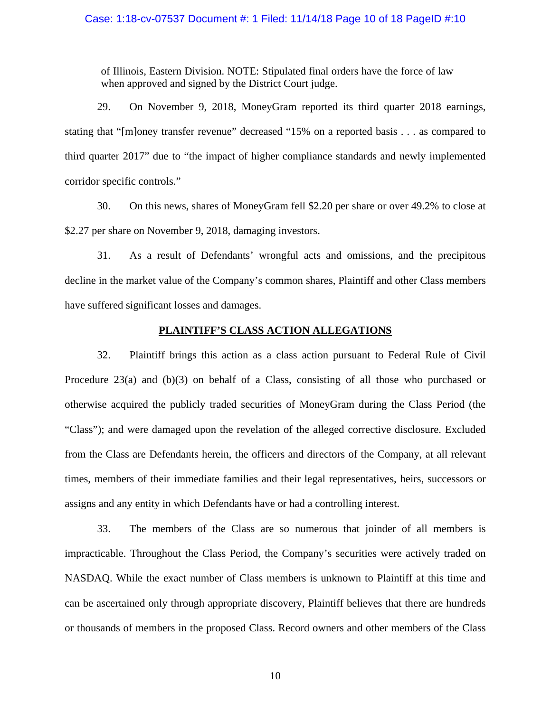### Case: 1:18-cv-07537 Document #: 1 Filed: 11/14/18 Page 10 of 18 PageID #:10

of Illinois, Eastern Division. NOTE: Stipulated final orders have the force of law when approved and signed by the District Court judge.

29. On November 9, 2018, MoneyGram reported its third quarter 2018 earnings, stating that "[m]oney transfer revenue" decreased "15% on a reported basis . . . as compared to third quarter 2017" due to "the impact of higher compliance standards and newly implemented corridor specific controls."

30. On this news, shares of MoneyGram fell \$2.20 per share or over 49.2% to close at \$2.27 per share on November 9, 2018, damaging investors.

31. As a result of Defendants' wrongful acts and omissions, and the precipitous decline in the market value of the Company's common shares, Plaintiff and other Class members have suffered significant losses and damages.

## **PLAINTIFF'S CLASS ACTION ALLEGATIONS**

32. Plaintiff brings this action as a class action pursuant to Federal Rule of Civil Procedure 23(a) and (b)(3) on behalf of a Class, consisting of all those who purchased or otherwise acquired the publicly traded securities of MoneyGram during the Class Period (the "Class"); and were damaged upon the revelation of the alleged corrective disclosure. Excluded from the Class are Defendants herein, the officers and directors of the Company, at all relevant times, members of their immediate families and their legal representatives, heirs, successors or assigns and any entity in which Defendants have or had a controlling interest.

33. The members of the Class are so numerous that joinder of all members is impracticable. Throughout the Class Period, the Company's securities were actively traded on NASDAQ. While the exact number of Class members is unknown to Plaintiff at this time and can be ascertained only through appropriate discovery, Plaintiff believes that there are hundreds or thousands of members in the proposed Class. Record owners and other members of the Class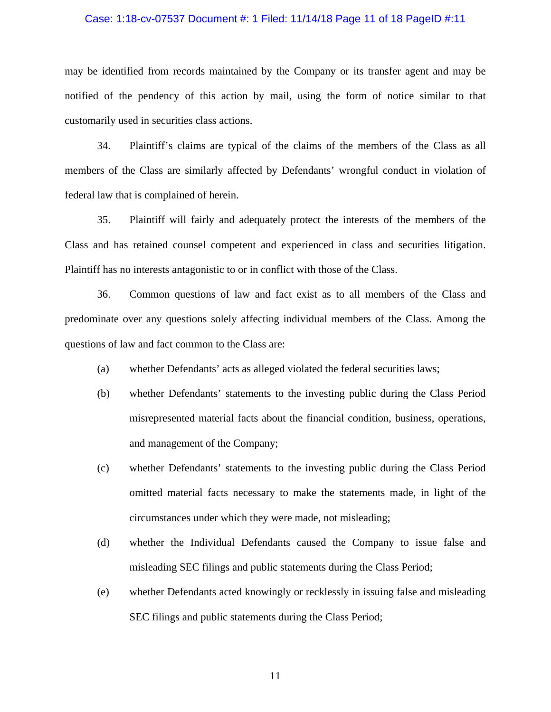#### Case: 1:18-cv-07537 Document #: 1 Filed: 11/14/18 Page 11 of 18 PageID #:11

may be identified from records maintained by the Company or its transfer agent and may be notified of the pendency of this action by mail, using the form of notice similar to that customarily used in securities class actions.

34. Plaintiff's claims are typical of the claims of the members of the Class as all members of the Class are similarly affected by Defendants' wrongful conduct in violation of federal law that is complained of herein.

35. Plaintiff will fairly and adequately protect the interests of the members of the Class and has retained counsel competent and experienced in class and securities litigation. Plaintiff has no interests antagonistic to or in conflict with those of the Class.

36. Common questions of law and fact exist as to all members of the Class and predominate over any questions solely affecting individual members of the Class. Among the questions of law and fact common to the Class are:

- (a) whether Defendants' acts as alleged violated the federal securities laws;
- (b) whether Defendants' statements to the investing public during the Class Period misrepresented material facts about the financial condition, business, operations, and management of the Company;
- (c) whether Defendants' statements to the investing public during the Class Period omitted material facts necessary to make the statements made, in light of the circumstances under which they were made, not misleading;
- (d) whether the Individual Defendants caused the Company to issue false and misleading SEC filings and public statements during the Class Period;
- (e) whether Defendants acted knowingly or recklessly in issuing false and misleading SEC filings and public statements during the Class Period;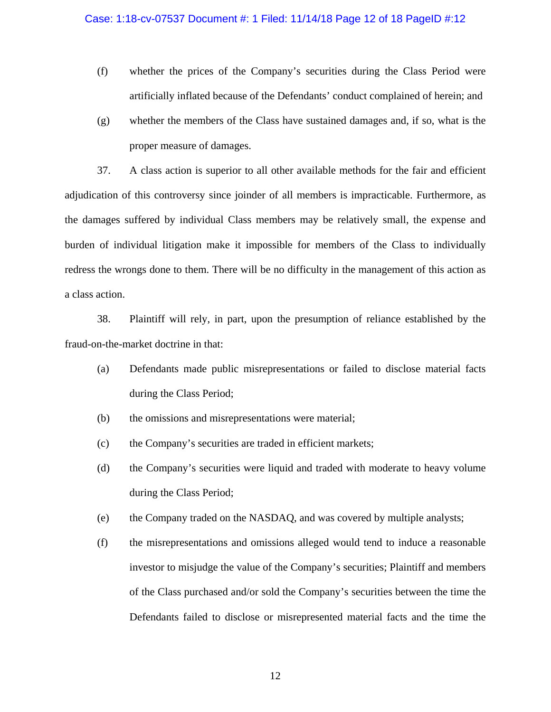- (f) whether the prices of the Company's securities during the Class Period were artificially inflated because of the Defendants' conduct complained of herein; and
- (g) whether the members of the Class have sustained damages and, if so, what is the proper measure of damages.

37. A class action is superior to all other available methods for the fair and efficient adjudication of this controversy since joinder of all members is impracticable. Furthermore, as the damages suffered by individual Class members may be relatively small, the expense and burden of individual litigation make it impossible for members of the Class to individually redress the wrongs done to them. There will be no difficulty in the management of this action as a class action.

38. Plaintiff will rely, in part, upon the presumption of reliance established by the fraud-on-the-market doctrine in that:

- (a) Defendants made public misrepresentations or failed to disclose material facts during the Class Period;
- (b) the omissions and misrepresentations were material;
- (c) the Company's securities are traded in efficient markets;
- (d) the Company's securities were liquid and traded with moderate to heavy volume during the Class Period;
- (e) the Company traded on the NASDAQ, and was covered by multiple analysts;
- (f) the misrepresentations and omissions alleged would tend to induce a reasonable investor to misjudge the value of the Company's securities; Plaintiff and members of the Class purchased and/or sold the Company's securities between the time the Defendants failed to disclose or misrepresented material facts and the time the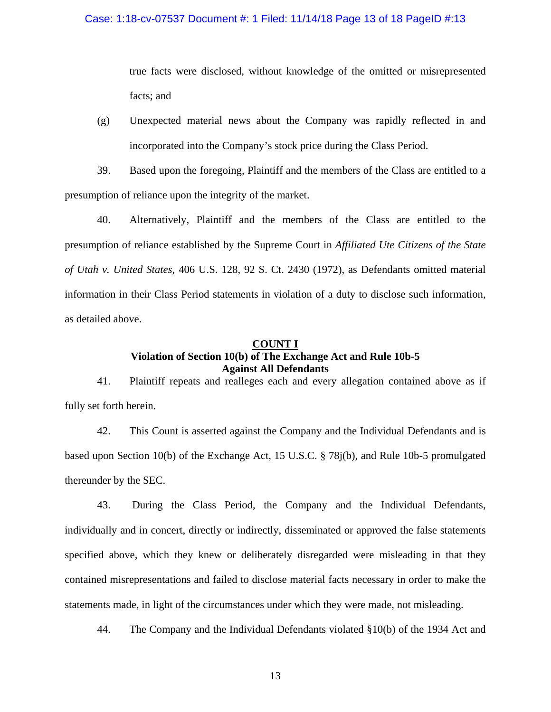## Case: 1:18-cv-07537 Document #: 1 Filed: 11/14/18 Page 13 of 18 PageID #:13

true facts were disclosed, without knowledge of the omitted or misrepresented facts; and

(g) Unexpected material news about the Company was rapidly reflected in and incorporated into the Company's stock price during the Class Period.

39. Based upon the foregoing, Plaintiff and the members of the Class are entitled to a presumption of reliance upon the integrity of the market.

40. Alternatively, Plaintiff and the members of the Class are entitled to the presumption of reliance established by the Supreme Court in *Affiliated Ute Citizens of the State of Utah v. United States*, 406 U.S. 128, 92 S. Ct. 2430 (1972), as Defendants omitted material information in their Class Period statements in violation of a duty to disclose such information, as detailed above.

## **COUNT I Violation of Section 10(b) of The Exchange Act and Rule 10b-5 Against All Defendants**

41. Plaintiff repeats and realleges each and every allegation contained above as if fully set forth herein.

42. This Count is asserted against the Company and the Individual Defendants and is based upon Section 10(b) of the Exchange Act, 15 U.S.C. § 78j(b), and Rule 10b-5 promulgated thereunder by the SEC.

43. During the Class Period, the Company and the Individual Defendants, individually and in concert, directly or indirectly, disseminated or approved the false statements specified above, which they knew or deliberately disregarded were misleading in that they contained misrepresentations and failed to disclose material facts necessary in order to make the statements made, in light of the circumstances under which they were made, not misleading.

44. The Company and the Individual Defendants violated §10(b) of the 1934 Act and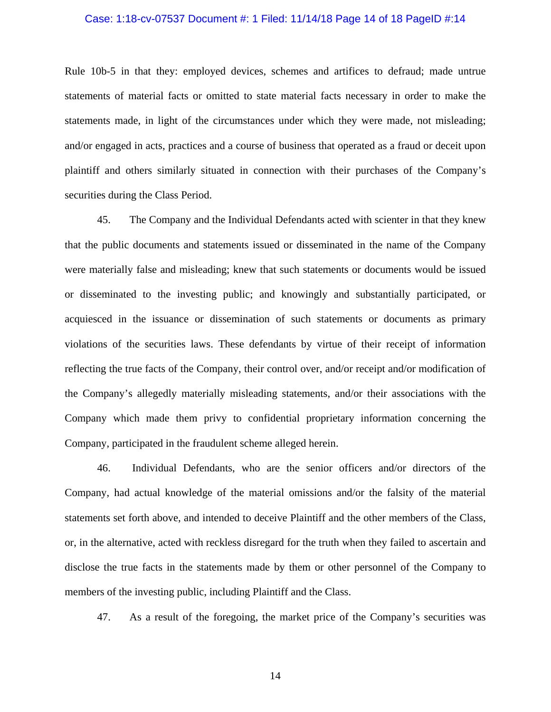#### Case: 1:18-cv-07537 Document #: 1 Filed: 11/14/18 Page 14 of 18 PageID #:14

Rule 10b-5 in that they: employed devices, schemes and artifices to defraud; made untrue statements of material facts or omitted to state material facts necessary in order to make the statements made, in light of the circumstances under which they were made, not misleading; and/or engaged in acts, practices and a course of business that operated as a fraud or deceit upon plaintiff and others similarly situated in connection with their purchases of the Company's securities during the Class Period.

45. The Company and the Individual Defendants acted with scienter in that they knew that the public documents and statements issued or disseminated in the name of the Company were materially false and misleading; knew that such statements or documents would be issued or disseminated to the investing public; and knowingly and substantially participated, or acquiesced in the issuance or dissemination of such statements or documents as primary violations of the securities laws. These defendants by virtue of their receipt of information reflecting the true facts of the Company, their control over, and/or receipt and/or modification of the Company's allegedly materially misleading statements, and/or their associations with the Company which made them privy to confidential proprietary information concerning the Company, participated in the fraudulent scheme alleged herein.

46. Individual Defendants, who are the senior officers and/or directors of the Company, had actual knowledge of the material omissions and/or the falsity of the material statements set forth above, and intended to deceive Plaintiff and the other members of the Class, or, in the alternative, acted with reckless disregard for the truth when they failed to ascertain and disclose the true facts in the statements made by them or other personnel of the Company to members of the investing public, including Plaintiff and the Class.

47. As a result of the foregoing, the market price of the Company's securities was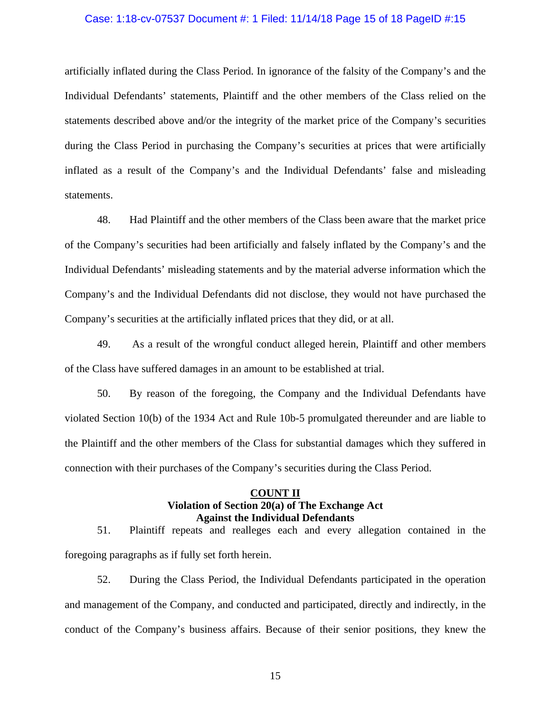#### Case: 1:18-cv-07537 Document #: 1 Filed: 11/14/18 Page 15 of 18 PageID #:15

artificially inflated during the Class Period. In ignorance of the falsity of the Company's and the Individual Defendants' statements, Plaintiff and the other members of the Class relied on the statements described above and/or the integrity of the market price of the Company's securities during the Class Period in purchasing the Company's securities at prices that were artificially inflated as a result of the Company's and the Individual Defendants' false and misleading statements.

48. Had Plaintiff and the other members of the Class been aware that the market price of the Company's securities had been artificially and falsely inflated by the Company's and the Individual Defendants' misleading statements and by the material adverse information which the Company's and the Individual Defendants did not disclose, they would not have purchased the Company's securities at the artificially inflated prices that they did, or at all.

49. As a result of the wrongful conduct alleged herein, Plaintiff and other members of the Class have suffered damages in an amount to be established at trial.

50. By reason of the foregoing, the Company and the Individual Defendants have violated Section 10(b) of the 1934 Act and Rule 10b-5 promulgated thereunder and are liable to the Plaintiff and the other members of the Class for substantial damages which they suffered in connection with their purchases of the Company's securities during the Class Period.

## **COUNT II Violation of Section 20(a) of The Exchange Act Against the Individual Defendants**

51. Plaintiff repeats and realleges each and every allegation contained in the foregoing paragraphs as if fully set forth herein.

52. During the Class Period, the Individual Defendants participated in the operation and management of the Company, and conducted and participated, directly and indirectly, in the conduct of the Company's business affairs. Because of their senior positions, they knew the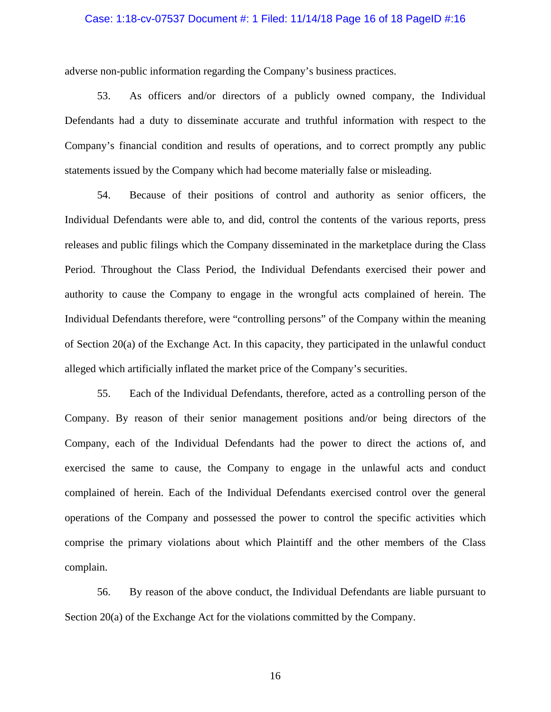#### Case: 1:18-cv-07537 Document #: 1 Filed: 11/14/18 Page 16 of 18 PageID #:16

adverse non-public information regarding the Company's business practices.

53. As officers and/or directors of a publicly owned company, the Individual Defendants had a duty to disseminate accurate and truthful information with respect to the Company's financial condition and results of operations, and to correct promptly any public statements issued by the Company which had become materially false or misleading.

54. Because of their positions of control and authority as senior officers, the Individual Defendants were able to, and did, control the contents of the various reports, press releases and public filings which the Company disseminated in the marketplace during the Class Period. Throughout the Class Period, the Individual Defendants exercised their power and authority to cause the Company to engage in the wrongful acts complained of herein. The Individual Defendants therefore, were "controlling persons" of the Company within the meaning of Section 20(a) of the Exchange Act. In this capacity, they participated in the unlawful conduct alleged which artificially inflated the market price of the Company's securities.

55. Each of the Individual Defendants, therefore, acted as a controlling person of the Company. By reason of their senior management positions and/or being directors of the Company, each of the Individual Defendants had the power to direct the actions of, and exercised the same to cause, the Company to engage in the unlawful acts and conduct complained of herein. Each of the Individual Defendants exercised control over the general operations of the Company and possessed the power to control the specific activities which comprise the primary violations about which Plaintiff and the other members of the Class complain.

56. By reason of the above conduct, the Individual Defendants are liable pursuant to Section 20(a) of the Exchange Act for the violations committed by the Company.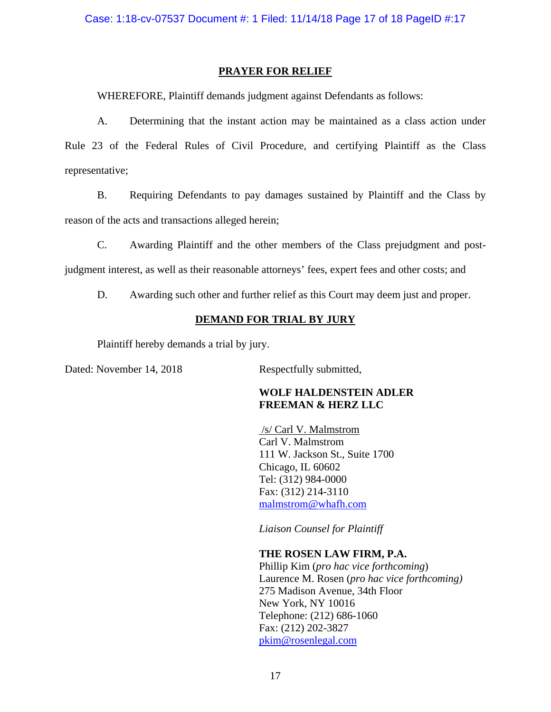# **PRAYER FOR RELIEF**

WHEREFORE, Plaintiff demands judgment against Defendants as follows:

A. Determining that the instant action may be maintained as a class action under Rule 23 of the Federal Rules of Civil Procedure, and certifying Plaintiff as the Class representative;

B. Requiring Defendants to pay damages sustained by Plaintiff and the Class by reason of the acts and transactions alleged herein;

C. Awarding Plaintiff and the other members of the Class prejudgment and postjudgment interest, as well as their reasonable attorneys' fees, expert fees and other costs; and

D. Awarding such other and further relief as this Court may deem just and proper.

# **DEMAND FOR TRIAL BY JURY**

Plaintiff hereby demands a trial by jury.

Dated: November 14, 2018 Respectfully submitted,

# **WOLF HALDENSTEIN ADLER FREEMAN & HERZ LLC**

 /s/ Carl V. Malmstrom Carl V. Malmstrom 111 W. Jackson St., Suite 1700 Chicago, IL 60602 Tel: (312) 984-0000 Fax: (312) 214-3110 malmstrom@whafh.com

*Liaison Counsel for Plaintiff* 

# **THE ROSEN LAW FIRM, P.A.**

Phillip Kim (*pro hac vice forthcoming*) Laurence M. Rosen (*pro hac vice forthcoming)* 275 Madison Avenue, 34th Floor New York, NY 10016 Telephone: (212) 686-1060 Fax: (212) 202-3827 pkim@rosenlegal.com